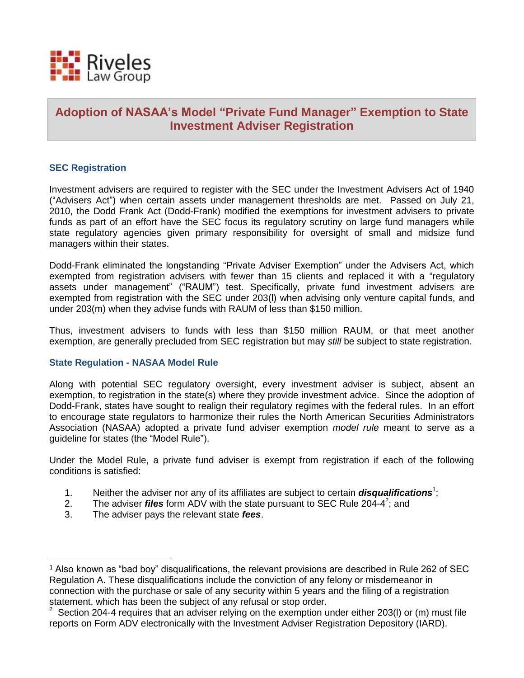

# **Adoption of NASAA's Model "Private Fund Manager" Exemption to State Investment Adviser Registration**

#### **SEC Registration**

 $\overline{a}$ 

Investment advisers are required to register with the SEC under the Investment Advisers Act of 1940 ("Advisers Act") when certain assets under management thresholds are met. Passed on July 21, 2010, the Dodd Frank Act (Dodd-Frank) modified the exemptions for investment advisers to private funds as part of an effort have the SEC focus its regulatory scrutiny on large fund managers while state regulatory agencies given primary responsibility for oversight of small and midsize fund managers within their states.

Dodd-Frank eliminated the longstanding "Private Adviser Exemption" under the Advisers Act, which exempted from registration advisers with fewer than 15 clients and replaced it with a "regulatory assets under management" ("RAUM") test. Specifically, private fund investment advisers are exempted from registration with the SEC under 203(l) when advising only venture capital funds, and under 203(m) when they advise funds with RAUM of less than \$150 million.

Thus, investment advisers to funds with less than \$150 million RAUM, or that meet another exemption, are generally precluded from SEC registration but may *still* be subject to state registration.

#### **State Regulation - NASAA Model Rule**

Along with potential SEC regulatory oversight, every investment adviser is subject, absent an exemption, to registration in the state(s) where they provide investment advice. Since the adoption of Dodd-Frank, states have sought to realign their regulatory regimes with the federal rules. In an effort to encourage state regulators to harmonize their rules the North American Securities Administrators Association (NASAA) adopted a private fund adviser exemption *model rule* meant to serve as a guideline for states (the "Model Rule").

Under the Model Rule, a private fund adviser is exempt from registration if each of the following conditions is satisfied:

- 1. Neither the adviser nor any of its affiliates are subject to certain *disqualifications*<sup>1</sup>;
- 2. The adviser *files* form ADV with the state pursuant to SEC Rule 204-4<sup>2</sup>; and
- 3. The adviser pays the relevant state *fees*.

 $1$  Also known as "bad boy" disqualifications, the relevant provisions are described in Rule 262 of SEC Regulation A. These disqualifications include the conviction of any felony or misdemeanor in connection with the purchase or sale of any security within 5 years and the filing of a registration statement, which has been the subject of any refusal or stop order.

<sup>2</sup> Section 204-4 requires that an adviser relying on the exemption under either 203(l) or (m) must file reports on Form ADV electronically with the Investment Adviser Registration Depository (IARD).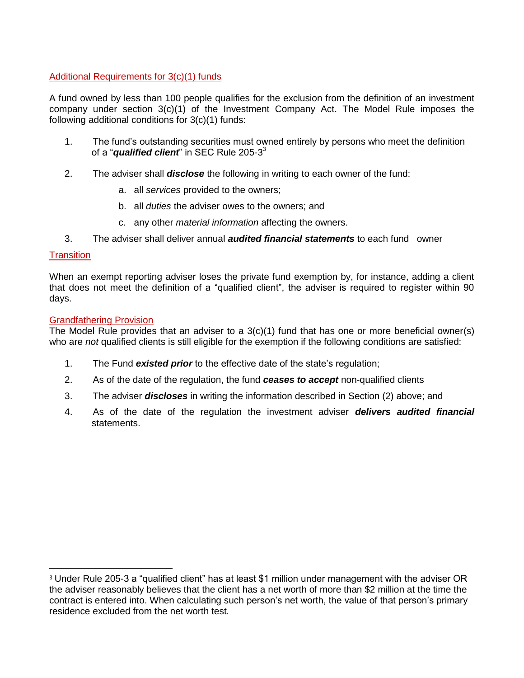### Additional Requirements for 3(c)(1) funds

A fund owned by less than 100 people qualifies for the exclusion from the definition of an investment company under section 3(c)(1) of the Investment Company Act. The Model Rule imposes the following additional conditions for 3(c)(1) funds:

- 1. The fund's outstanding securities must owned entirely by persons who meet the definition of a "*qualified client*" in SEC Rule 205-3 3
- 2. The adviser shall *disclose* the following in writing to each owner of the fund:
	- a. all *services* provided to the owners;
	- b. all *duties* the adviser owes to the owners; and
	- c. any other *material information* affecting the owners.
- 3. The adviser shall deliver annual *audited financial statements* to each fund owner

### **Transition**

l

When an exempt reporting adviser loses the private fund exemption by, for instance, adding a client that does not meet the definition of a "qualified client", the adviser is required to register within 90 days.

### Grandfathering Provision

The Model Rule provides that an adviser to a 3(c)(1) fund that has one or more beneficial owner(s) who are *not* qualified clients is still eligible for the exemption if the following conditions are satisfied:

- 1. The Fund *existed prior* to the effective date of the state's regulation;
- 2. As of the date of the regulation, the fund *ceases to accept* non-qualified clients
- 3. The adviser *discloses* in writing the information described in Section (2) above; and
- 4. As of the date of the regulation the investment adviser *delivers audited financial* statements.

<sup>3</sup> Under Rule 205-3 a "qualified client" has at least \$1 million under management with the adviser OR the adviser reasonably believes that the client has a net worth of more than \$2 million at the time the contract is entered into. When calculating such person's net worth, the value of that person's primary residence excluded from the net worth test.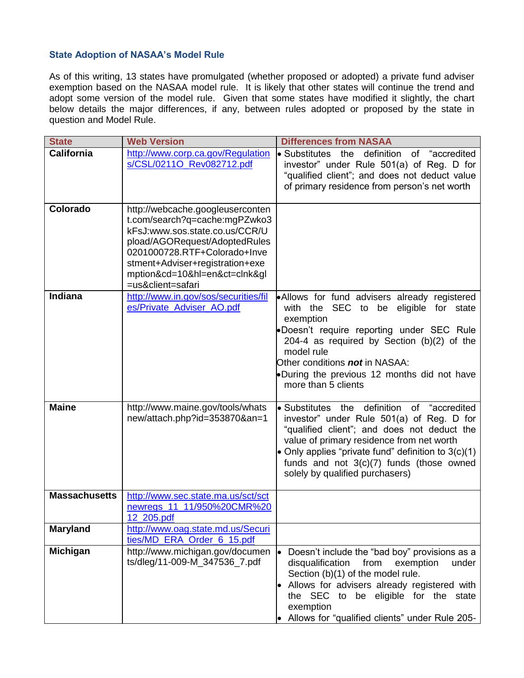## **State Adoption of NASAA's Model Rule**

As of this writing, 13 states have promulgated (whether proposed or adopted) a private fund adviser exemption based on the NASAA model rule. It is likely that other states will continue the trend and adopt some version of the model rule. Given that some states have modified it slightly, the chart below details the major differences, if any, between rules adopted or proposed by the state in question and Model Rule.

| <b>State</b>         | <b>Web Version</b>                                                                                                                                                                                                                                          | <b>Differences from NASAA</b>                                                                                                                                                                                                                                                                                                   |
|----------------------|-------------------------------------------------------------------------------------------------------------------------------------------------------------------------------------------------------------------------------------------------------------|---------------------------------------------------------------------------------------------------------------------------------------------------------------------------------------------------------------------------------------------------------------------------------------------------------------------------------|
| <b>California</b>    | http://www.corp.ca.gov/Regulation<br>s/CSL/0211O_Rev082712.pdf                                                                                                                                                                                              | • Substitutes the definition of "accredited<br>investor" under Rule 501(a) of Reg. D for<br>"qualified client"; and does not deduct value<br>of primary residence from person's net worth                                                                                                                                       |
| Colorado             | http://webcache.googleuserconten<br>t.com/search?q=cache:mgPZwko3<br>kFsJ:www.sos.state.co.us/CCR/U<br>pload/AGORequest/AdoptedRules<br>0201000728.RTF+Colorado+Inve<br>stment+Adviser+registration+exe<br>mption&cd=10&hl=en&ct=clnk≷<br>=us&client=safari |                                                                                                                                                                                                                                                                                                                                 |
| Indiana              | http://www.in.gov/sos/securities/fil<br>es/Private_Adviser_AO.pdf                                                                                                                                                                                           | •Allows for fund advisers already registered<br>with the SEC to be eligible for state<br>exemption<br>.Doesn't require reporting under SEC Rule<br>204-4 as required by Section $(b)(2)$ of the<br>model rule<br>Other conditions not in NASAA:<br>•During the previous 12 months did not have<br>more than 5 clients           |
| <b>Maine</b>         | http://www.maine.gov/tools/whats<br>new/attach.php?id=353870&an=1                                                                                                                                                                                           | · Substitutes the definition of "accredited"<br>investor" under Rule 501(a) of Reg. D for<br>"qualified client"; and does not deduct the<br>value of primary residence from net worth<br>• Only applies "private fund" definition to $3(c)(1)$<br>funds and not $3(c)(7)$ funds (those owned<br>solely by qualified purchasers) |
| <b>Massachusetts</b> | http://www.sec.state.ma.us/sct/sct<br>newregs_11_11/950%20CMR%20<br>12 205.pdf                                                                                                                                                                              |                                                                                                                                                                                                                                                                                                                                 |
| <b>Maryland</b>      | http://www.oag.state.md.us/Securi<br>ties/MD_ERA_Order_6_15.pdf                                                                                                                                                                                             |                                                                                                                                                                                                                                                                                                                                 |
| <b>Michigan</b>      | http://www.michigan.gov/documen<br>ts/dleg/11-009-M_347536_7.pdf                                                                                                                                                                                            | Doesn't include the "bad boy" provisions as a<br>disqualification<br>from<br>exemption<br>under<br>Section (b)(1) of the model rule.<br>Allows for advisers already registered with<br>the SEC to be eligible for the state<br>exemption<br>Allows for "qualified clients" under Rule 205-                                      |